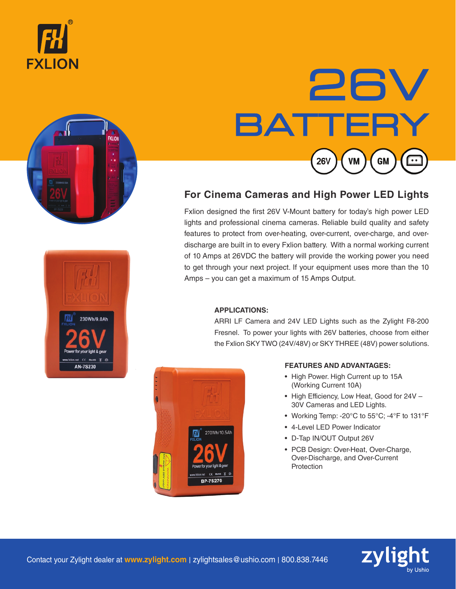





# 26V **BATTERY 26V VM GM**

# **For Cinema Cameras and High Power LED Lights**

Fxlion designed the first 26V V-Mount battery for today's high power LED lights and professional cinema cameras. Reliable build quality and safety features to protect from over-heating, over-current, over-charge, and overdischarge are built in to every Fxlion battery. With a normal working current of 10 Amps at 26VDC the battery will provide the working power you need to get through your next project. If your equipment uses more than the 10 Amps – you can get a maximum of 15 Amps Output.

#### **APPLICATIONS:**

ARRI LF Camera and 24V LED Lights such as the Zylight F8-200 Fresnel. To power your lights with 26V batteries, choose from either the Fxlion SKY TWO (24V/48V) or SKY THREE (48V) power solutions.



#### **FEATURES AND ADVANTAGES:**

- High Power. High Current up to 15A (Working Current 10A)
- High Efficiency, Low Heat, Good for 24V 30V Cameras and LED Lights.
- Working Temp: -20°C to 55°C; -4°F to 131°F
- 4-Level LED Power Indicator
- D-Tap IN/OUT Output 26V
- PCB Design: Over-Heat, Over-Charge, Over-Discharge, and Over-Current **Protection**